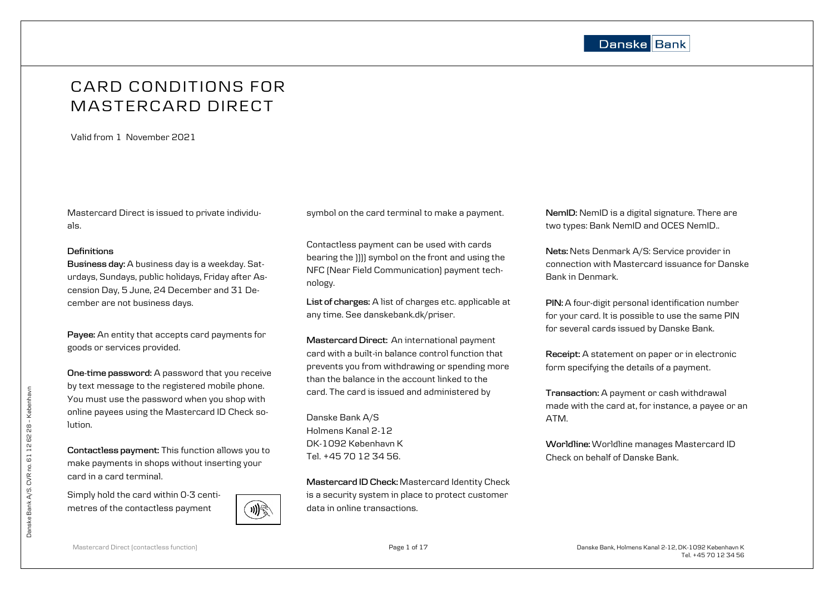

# CARD CONDITIONS FOR MASTERCARD DIRECT

Valid from 1 November 2021

Mastercard Direct is issued to private individuals.

## **Definitions**

**Business day:** A business day is a weekday. Saturdays, Sundays, public holidays, Friday after Ascension Day, 5 June, 24 December and 31 December are not business days.

**Payee:** An entity that accepts card payments for goods or services provided.

**One-time password:** A password that you receive by text message to the registered mobile phone. You must use the password when you shop with online payees using the Mastercard ID Check solution.

**Contactless payment:** This function allows you to make payments in shops without inserting your card in a card terminal.

Simply hold the card within 0-3 centimetres of the contactless payment



symbol on the card terminal to make a payment.

Contactless payment can be used with cards bearing the )))) symbol on the front and using the NFC (Near Field Communication) payment technology.

**List of charges:** A list of charges etc. applicable at any time. See danskebank.dk/priser.

**Mastercard Direct:** An international payment card with a built-in balance control function that prevents you from withdrawing or spending more than the balance in the account linked to the card. The card is issued and administered by

Danske Bank A/S Holmens Kanal 2-12 DK-1092 København K Tel. +45 70 12 34 56.

**Mastercard ID Check:** Mastercard Identity Check is a security system in place to protect customer data in online transactions.

**NemID:** NemID is a digital signature. There are two types: Bank NemID and OCES NemID..

**Nets:** Nets Denmark A/S: Service provider in connection with Mastercard issuance for Danske Bank in Denmark.

**PIN:** A four-digit personal identification number for your card. It is possible to use the same PIN for several cards issued by Danske Bank.

**Receipt:** A statement on paper or in electronic form specifying the details of a payment.

**Transaction:** A payment or cash withdrawal made with the card at, for instance, a payee or an ATM.

**Worldline:** Worldline manages Mastercard ID Check on behalf of Danske Bank.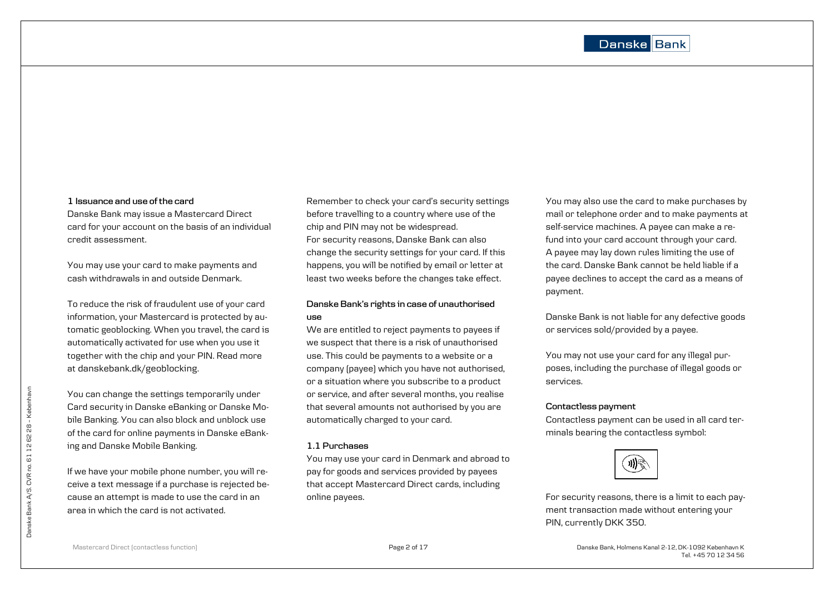#### **1 Issuance and use of the card**

Danske Bank may issue a Mastercard Direct card for your account on the basis of an individual credit assessment.

You may use your card to make payments and cash withdrawals in and outside Denmark.

To reduce the risk of fraudulent use of your card information, your Mastercard is protected by automatic geoblocking. When you travel, the card is automatically activated for use when you use it together with the chip and your PIN. Read more at [danskebank.dk/geoblocking](http://www.danskebank.dk/kortsikkerhed).

You can change the settings temporarily under Card security in Danske eBanking or Danske Mobile Banking. You can also block and unblock use of the card for online payments in Danske eBanking and Danske Mobile Banking.

If we have your mobile phone number, you will receive a text message if a purchase is rejected because an attempt is made to use the card in an area in which the card is not activated.

Remember to check your card's security settings before travelling to a country where use of the chip and PIN may not be widespread. For security reasons, Danske Bank can also change the security settings for your card. If this happens, you will be notified by email or letter at least two weeks before the changes take effect.

## **Danske Bank's rights in case of unauthorised use**

We are entitled to reject payments to payees if we suspect that there is a risk of unauthorised use. This could be payments to a website or a company (payee) which you have not authorised, or a situation where you subscribe to a product or service, and after several months, you realise that several amounts not authorised by you are automatically charged to your card.

## **1.1 Purchases**

You may use your card in Denmark and abroad to pay for goods and services provided by payees that accept Mastercard Direct cards, including online payees.

You may also use the card to make purchases by mail or telephone order and to make payments at self-service machines. A payee can make a refund into your card account through your card. A payee may lay down rules limiting the use of the card. Danske Bank cannot be held liable if a payee declines to accept the card as a means of payment.

Danske Bank is not liable for any defective goods or services sold/provided by a payee.

You may not use your card for any illegal purposes, including the purchase of illegal goods or services.

## **Contactless payment**

Contactless payment can be used in all card terminals bearing the contactless symbol:



For security reasons, there is a limit to each payment transaction made without entering your PIN, currently DKK 350.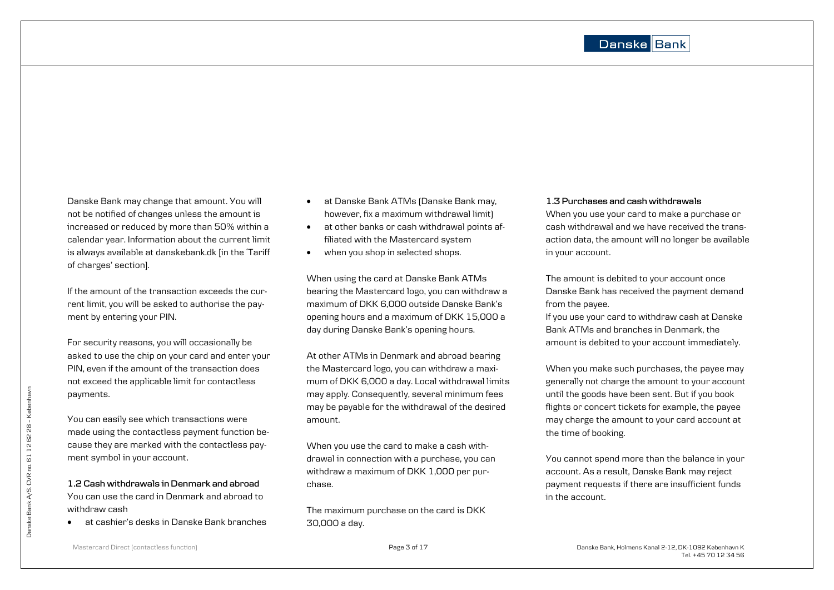Danske Bank may change that amount. You will not be notified of changes unless the amount is increased or reduced by more than 50% within a calendar year. Information about the current limit is always available at danskebank.dk [in the 'Tariff of charges' section].

If the amount of the transaction exceeds the current limit, you will be asked to authorise the payment by entering your PIN.

For security reasons, you will occasionally be asked to use the chip on your card and enter your PIN, even if the amount of the transaction does not exceed the applicable limit for contactless payments.

You can easily see which transactions were made using the contactless payment function because they are marked with the contactless payment symbol in your account.

**1.2 Cash withdrawals in Denmark and abroad** You can use the card in Denmark and abroad to withdraw cash

at cashier's desks in Danske Bank branches

- at Danske Bank ATMs (Danske Bank may, however, fix a maximum withdrawal limit)
- at other banks or cash withdrawal points affiliated with the Mastercard system
- when you shop in selected shops.

When using the card at Danske Bank ATMs bearing the Mastercard logo, you can withdraw a maximum of DKK 6,000 outside Danske Bank's opening hours and a maximum of DKK 15,000 a day during Danske Bank's opening hours.

At other ATMs in Denmark and abroad bearing the Mastercard logo, you can withdraw a maximum of DKK 6,000 a day. Local withdrawal limits may apply. Consequently, several minimum fees may be payable for the withdrawal of the desired amount.

When you use the card to make a cash withdrawal in connection with a purchase, you can withdraw a maximum of DKK 1,000 per purchase.

The maximum purchase on the card is DKK 30,000 a day.

## **1.3 Purchases and cash withdrawals**

When you use your card to make a purchase or cash withdrawal and we have received the transaction data, the amount will no longer be available in your account.

The amount is debited to your account once Danske Bank has received the payment demand from the payee.

If you use your card to withdraw cash at Danske Bank ATMs and branches in Denmark, the amount is debited to your account immediately.

When you make such purchases, the payee may generally not charge the amount to your account until the goods have been sent. But if you book flights or concert tickets for example, the payee may charge the amount to your card account at the time of booking.

You cannot spend more than the balance in your account. As a result, Danske Bank may reject payment requests if there are insufficient funds in the account.

Bank A/S. CVR no. 61 12 62 28 - Københavr Danske Bank A/S. CVR no. 61 12 62 28 – København Danske B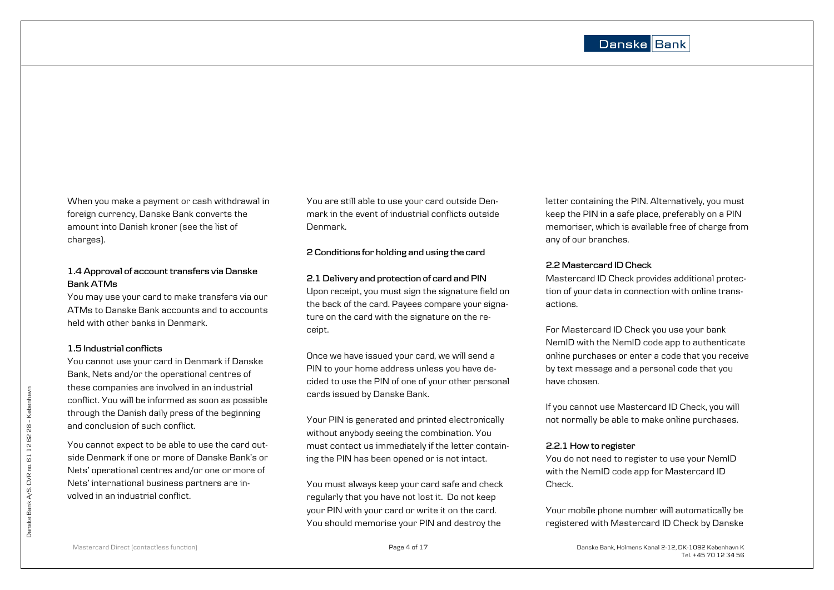When you make a payment or cash withdrawal in foreign currency, Danske Bank converts the amount into Danish kroner (see the list of charges).

## **1.4 Approval of account transfers via Danske Bank ATMs**

You may use your card to make transfers via our ATMs to Danske Bank accounts and to accounts held with other banks in Denmark.

## **1.5 Industrial conflicts**

You cannot use your card in Denmark if Danske Bank, Nets and/or the operational centres of these companies are involved in an industrial conflict. You will be informed as soon as possible through the Danish daily press of the beginning and conclusion of such conflict.

You cannot expect to be able to use the card outside Denmark if one or more of Danske Bank's or Nets' operational centres and/or one or more of Nets' international business partners are involved in an industrial conflict.

You are still able to use your card outside Denmark in the event of industrial conflicts outside Denmark.

## **2 Conditions for holding and using the card**

## **2.1 Delivery and protection of card and PIN**

Upon receipt, you must sign the signature field on the back of the card. Payees compare your signature on the card with the signature on the receipt.

Once we have issued your card, we will send a PIN to your home address unless you have decided to use the PIN of one of your other personal cards issued by Danske Bank.

Your PIN is generated and printed electronically without anybody seeing the combination. You must contact us immediately if the letter containing the PIN has been opened or is not intact.

You must always keep your card safe and check regularly that you have not lost it. Do not keep your PIN with your card or write it on the card. You should memorise your PIN and destroy the

letter containing the PIN. Alternatively, you must keep the PIN in a safe place, preferably on a PIN memoriser, which is available free of charge from any of our branches.

## **2.2 Mastercard ID Check**

Mastercard ID Check provides additional protection of your data in connection with online transactions.

For Mastercard ID Check you use your bank NemID with the NemID code app to authenticate online purchases or enter a code that you receive by text message and a personal code that you have chosen.

If you cannot use Mastercard ID Check, you will not normally be able to make online purchases.

## **2.2.1 How to register**

You do not need to register to use your NemID with the NemID code app for Mastercard ID Check.

Your mobile phone number will automatically be registered with Mastercard ID Check by Danske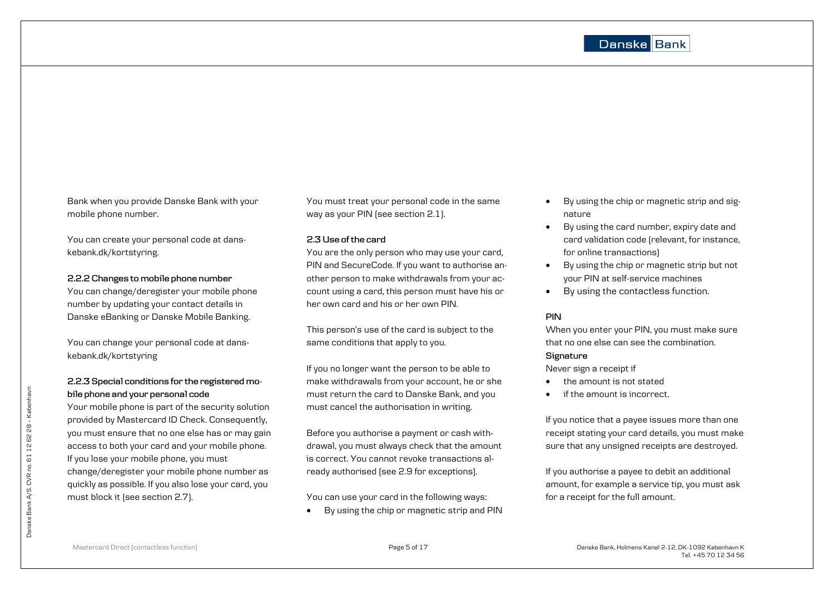Bank when you provide Danske Bank with your mobile phone number.

You can create your personal code at danskebank.dk/kortstyring.

## **2.2.2 Changes to mobile phone number**

You can change/deregister your mobile phone number by updating your contact details in Danske eBanking or Danske Mobile Banking.

You can change your personal code at danskebank.dk/kortstyring

## **2.2.3 Special conditions for the registered mobile phone and your personal code**

Your mobile phone is part of the security solution provided by Mastercard ID Check. Consequently, you must ensure that no one else has or may gain access to both your card and your mobile phone. If you lose your mobile phone, you must change/deregister your mobile phone number as quickly as possible. If you also lose your card, you must block it (see section 2.7).

You must treat your personal code in the same way as your PIN (see section 2.1).

## **2.3 Use of the card**

You are the only person who may use your card, PIN and SecureCode. If you want to authorise another person to make withdrawals from your account using a card, this person must have his or her own card and his or her own PIN.

This person's use of the card is subject to the same conditions that apply to you.

If you no longer want the person to be able to make withdrawals from your account, he or she must return the card to Danske Bank, and you must cancel the authorisation in writing.

Before you authorise a payment or cash withdrawal, you must always check that the amount is correct. You cannot revoke transactions already authorised (see 2.9 for exceptions).

You can use your card in the following ways:

By using the chip or magnetic strip and PIN

- By using the chip or magnetic strip and signature
- By using the card number, expiry date and card validation code (relevant, for instance, for online transactions)
- By using the chip or magnetic strip but not your PIN at self-service machines
- By using the contactless function.

## **PIN**

When you enter your PIN, you must make sure that no one else can see the combination.

## **Signature**

Never sign a receipt if

- the amount is not stated
- if the amount is incorrect.

If you notice that a payee issues more than one receipt stating your card details, you must make sure that any unsigned receipts are destroyed.

If you authorise a payee to debit an additional amount, for example a service tip, you must ask for a receipt for the full amount.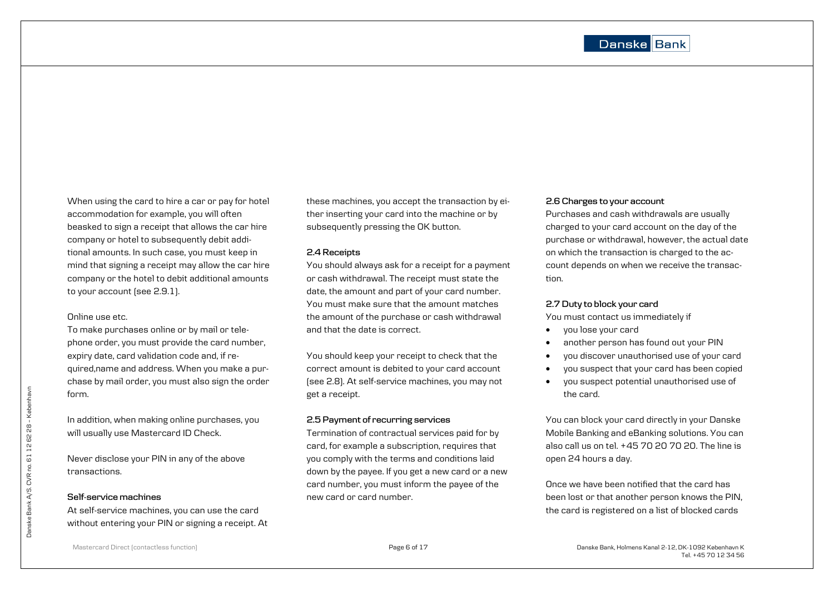When using the card to hire a car or pay for hotel accommodation for example, you will often beasked to sign a receipt that allows the car hire company or hotel to subsequently debit additional amounts. In such case, you must keep in mind that signing a receipt may allow the car hire company or the hotel to debit additional amounts to your account (see 2.9.1).

## Online use etc.

To make purchases online or by mail or telephone order, you must provide the card number, expiry date, card validation code and, if required,name and address. When you make a purchase by mail order, you must also sign the order form.

In addition, when making online purchases, you will usually use Mastercard ID Check.

Never disclose your PIN in any of the above transactions.

## **Self-service machines**

At self-service machines, you can use the card without entering your PIN or signing a receipt. At these machines, you accept the transaction by either inserting your card into the machine or by subsequently pressing the OK button.

#### **2.4 Receipts**

You should always ask for a receipt for a payment or cash withdrawal. The receipt must state the date, the amount and part of your card number. You must make sure that the amount matches the amount of the purchase or cash withdrawal and that the date is correct.

You should keep your receipt to check that the correct amount is debited to your card account (see 2.8). At self-service machines, you may not get a receipt.

## **2.5 Payment of recurring services**

Termination of contractual services paid for by card, for example a subscription, requires that you comply with the terms and conditions laid down by the payee. If you get a new card or a new card number, you must inform the payee of the new card or card number.

## **2.6 Charges to your account**

Purchases and cash withdrawals are usually charged to your card account on the day of the purchase or withdrawal, however, the actual date on which the transaction is charged to the account depends on when we receive the transaction.

#### **2.7 Duty to block your card**

You must contact us immediately if

- you lose your card
- another person has found out your PIN
- you discover unauthorised use of your card
- you suspect that your card has been copied
- you suspect potential unauthorised use of the card.

You can block your card directly in your Danske Mobile Banking and eBanking solutions. You can also call us on tel. +45 70 20 70 20. The line is open 24 hours a day.

Once we have been notified that the card has been lost or that another person knows the PIN, the card is registered on a list of blocked cards

Danske Bank A/S. CVR no. 61 12 62 28 - Københavr Danske Bank A/S. CVR no. 61 12 62 28 – København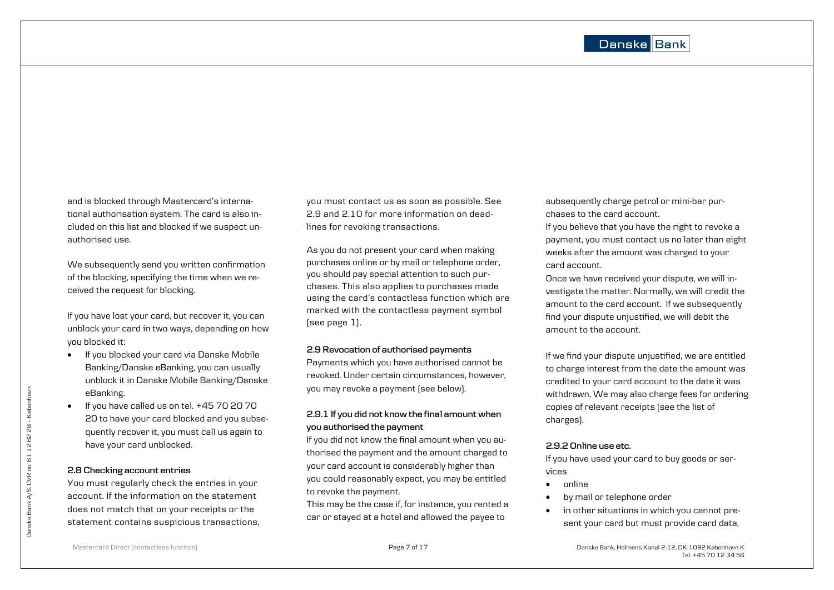and is blocked through Mastercard's international authorisation system. The card is also included on this list and blocked if we suspect unauthorised use.

We subsequently send you written confirmation of the blocking, specifying the time when we received the request for blocking.

If you have lost your card, but recover it, you can unblock your card in two ways, depending on how you blocked it:

- If you blocked your card via Danske Mobile Banking/Danske eBanking, you can usually unblock it in Danske Mobile Banking/Danske eBanking.
- $\bullet$  If you have called us on tel.  $+45\,70\,20\,70$ 20 to have your card blocked and you subsequently recover it, you must call us again to have your card unblocked.

## **2.8 Checking account entries**

You must regularly check the entries in your account. If the information on the statement does not match that on your receipts or the statement contains suspicious transactions, you must contact us as soon as possible. See 2.9 and 2.10 for more information on deadlines for revoking transactions.

As you do not present your card when making purchases online or by mail or telephone order, you should pay special attention to such purchases. This also applies to purchases made using the card's contactless function which are marked with the contactless payment symbol (see page 1).

## **2.9 Revocation of authorised payments**

Payments which you have authorised cannot be revoked. Under certain circumstances, however, you may revoke a payment (see below).

## **2.9.1 If you did not know the final amount when you authorised the payment**

If you did not know the final amount when you authorised the payment and the amount charged to your card account is considerably higher than you could reasonably expect, you may be entitled to revoke the payment.

This may be the case if, for instance, you rented a car or stayed at a hotel and allowed the payee to

subsequently charge petrol or mini-bar purchases to the card account.

If you believe that you have the right to revoke a payment, you must contact us no later than eight weeks after the amount was charged to your card account.

Once we have received your dispute, we will investigate the matter. Normally, we will credit the amount to the card account. If we subsequently find your dispute unjustified, we will debit the amount to the account.

If we find your dispute unjustified, we are entitled to charge interest from the date the amount was credited to your card account to the date it was withdrawn. We may also charge fees for ordering copies of relevant receipts (see the list of charges).

## **2.9.2 Online use etc.**

If you have used your card to buy goods or services

- online
- by mail or telephone order
- in other situations in which you cannot present your card but must provide card data,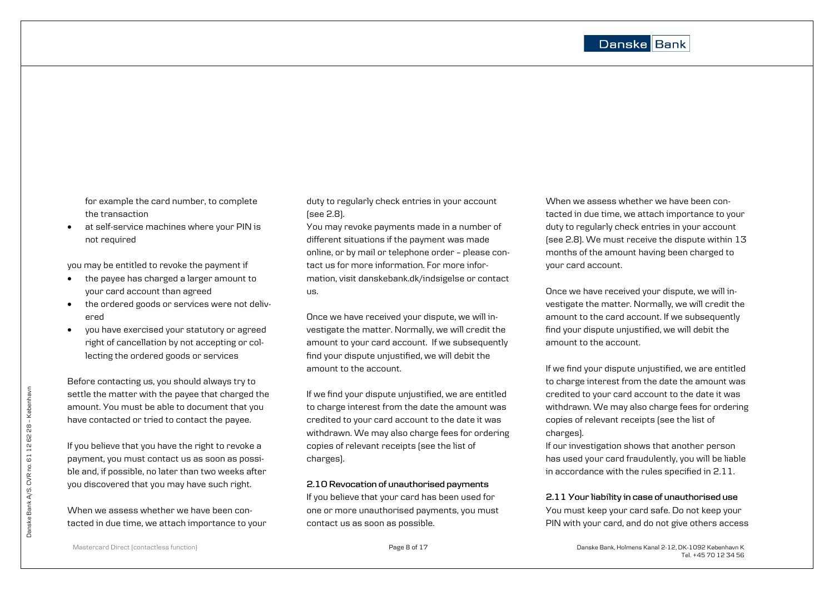for example the card number, to complete the transaction

 at self-service machines where your PIN is not required

you may be entitled to revoke the payment if

- the payee has charged a larger amount to your card account than agreed
- the ordered goods or services were not delivered
- you have exercised your statutory or agreed right of cancellation by not accepting or collecting the ordered goods or services

Before contacting us, you should always try to settle the matter with the payee that charged the amount. You must be able to document that you have contacted or tried to contact the payee.

If you believe that you have the right to revoke a payment, you must contact us as soon as possible and, if possible, no later than two weeks after you discovered that you may have such right.

When we assess whether we have been contacted in due time, we attach importance to your duty to regularly check entries in your account (see 2.8).

You may revoke payments made in a number of different situations if the payment was made online, or by mail or telephone order – please contact us for more information. For more information, visit danskebank.dk/indsigelse or contact us.

Once we have received your dispute, we will investigate the matter. Normally, we will credit the amount to your card account. If we subsequently find your dispute unjustified, we will debit the amount to the account.

If we find your dispute unjustified, we are entitled to charge interest from the date the amount was credited to your card account to the date it was withdrawn. We may also charge fees for ordering copies of relevant receipts (see the list of charges).

## **2.10 Revocation of unauthorised payments**

If you believe that your card has been used for one or more unauthorised payments, you must contact us as soon as possible.

When we assess whether we have been contacted in due time, we attach importance to your duty to regularly check entries in your account (see 2.8). We must receive the dispute within 13 months of the amount having been charged to your card account.

Once we have received your dispute, we will investigate the matter. Normally, we will credit the amount to the card account. If we subsequently find your dispute unjustified, we will debit the amount to the account.

If we find your dispute unjustified, we are entitled to charge interest from the date the amount was credited to your card account to the date it was withdrawn. We may also charge fees for ordering copies of relevant receipts (see the list of charges).

If our investigation shows that another person has used your card fraudulently, you will be liable in accordance with the rules specified in 2.11.

## **2.11 Your liability in case of unauthorised use**

You must keep your card safe. Do not keep your PIN with your card, and do not give others access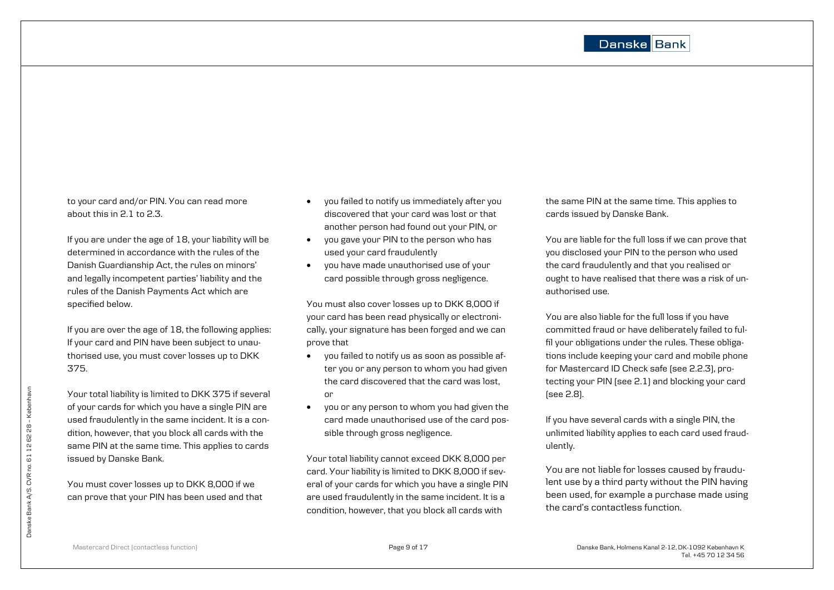to your card and/or PIN. You can read more about this in 2.1 to 2.3.

If you are under the age of 18, your liability will be determined in accordance with the rules of the Danish Guardianship Act, the rules on minors' and legally incompetent parties' liability and the rules of the Danish Payments Act which are specified below.

If you are over the age of 18, the following applies: If your card and PIN have been subject to unauthorised use, you must cover losses up to DKK 375.

Your total liability is limited to DKK 375 if several of your cards for which you have a single PIN are used fraudulently in the same incident. It is a condition, however, that you block all cards with the same PIN at the same time. This applies to cards issued by Danske Bank.

You must cover losses up to DKK 8,000 if we can prove that your PIN has been used and that

- you failed to notify us immediately after you discovered that your card was lost or that another person had found out your PIN, or
- you gave your PIN to the person who has used your card fraudulently
- you have made unauthorised use of your card possible through gross negligence.

You must also cover losses up to DKK 8,000 if your card has been read physically or electronically, your signature has been forged and we can prove that

- you failed to notify us as soon as possible after you or any person to whom you had given the card discovered that the card was lost, or
- you or any person to whom you had given the card made unauthorised use of the card possible through gross negligence.

Your total liability cannot exceed DKK 8,000 per card. Your liability is limited to DKK 8,000 if several of your cards for which you have a single PIN are used fraudulently in the same incident. It is a condition, however, that you block all cards with

the same PIN at the same time. This applies to cards issued by Danske Bank.

You are liable for the full loss if we can prove that you disclosed your PIN to the person who used the card fraudulently and that you realised or ought to have realised that there was a risk of unauthorised use.

You are also liable for the full loss if you have committed fraud or have deliberately failed to fulfil your obligations under the rules. These obligations include keeping your card and mobile phone for Mastercard ID Check safe (see 2.2.3), protecting your PIN (see 2.1) and blocking your card (see 2.8).

If you have several cards with a single PIN, the unlimited liability applies to each card used fraudulently.

You are not liable for losses caused by fraudulent use by a third party without the PIN having been used, for example a purchase made using the card's contactless function.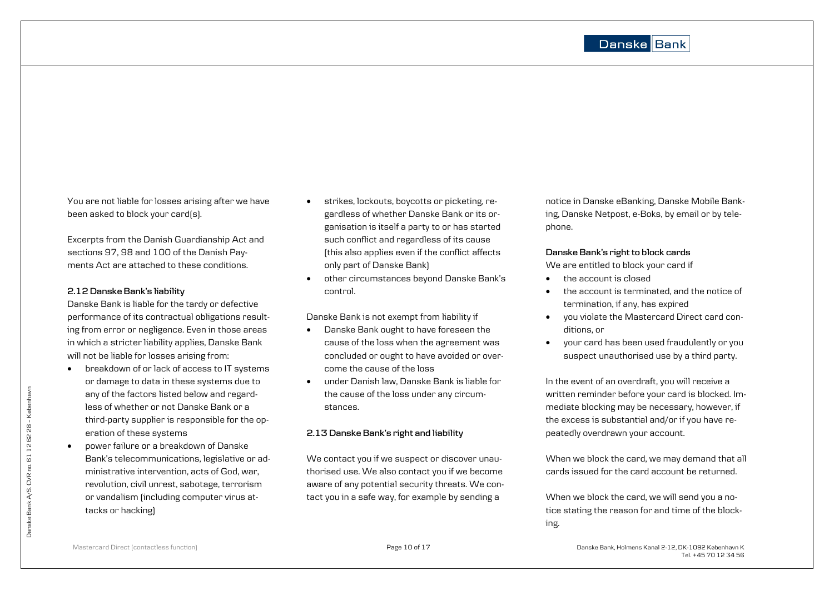You are not liable for losses arising after we have been asked to block your card(s).

Excerpts from the Danish Guardianship Act and sections 97, 98 and 100 of the Danish Payments Act are attached to these conditions.

## **2.12 Danske Bank's liability**

Danske Bank is liable for the tardy or defective performance of its contractual obligations resulting from error or negligence. Even in those areas in which a stricter liability applies, Danske Bank will not be liable for losses arising from:

- breakdown of or lack of access to IT systems or damage to data in these systems due to any of the factors listed below and regardless of whether or not Danske Bank or a third-party supplier is responsible for the operation of these systems
- **•** power failure or a breakdown of Danske Bank's telecommunications, legislative or administrative intervention, acts of God, war, revolution, civil unrest, sabotage, terrorism or vandalism (including computer virus attacks or hacking)
- strikes, lockouts, boycotts or picketing, regardless of whether Danske Bank or its organisation is itself a party to or has started such conflict and regardless of its cause (this also applies even if the conflict affects only part of Danske Bank)
- other circumstances beyond Danske Bank's control.

Danske Bank is not exempt from liability if

- Danske Bank ought to have foreseen the cause of the loss when the agreement was concluded or ought to have avoided or overcome the cause of the loss
- under Danish law, Danske Bank is liable for the cause of the loss under any circumstances.

## **2.13 Danske Bank's right and liability**

We contact you if we suspect or discover unauthorised use. We also contact you if we become aware of any potential security threats. We contact you in a safe way, for example by sending a

notice in Danske eBanking, Danske Mobile Banking, Danske Netpost, e-Boks, by email or by telephone.

## **Danske Bank's right to block cards**

We are entitled to block your card if

- the account is closed
- the account is terminated, and the notice of termination, if any, has expired
- you violate the Mastercard Direct card conditions, or
- your card has been used fraudulently or you suspect unauthorised use by a third party.

In the event of an overdraft, you will receive a written reminder before your card is blocked. Immediate blocking may be necessary, however, if the excess is substantial and/or if you have repeatedly overdrawn your account.

When we block the card, we may demand that all cards issued for the card account be returned.

When we block the card, we will send you a notice stating the reason for and time of the blocking.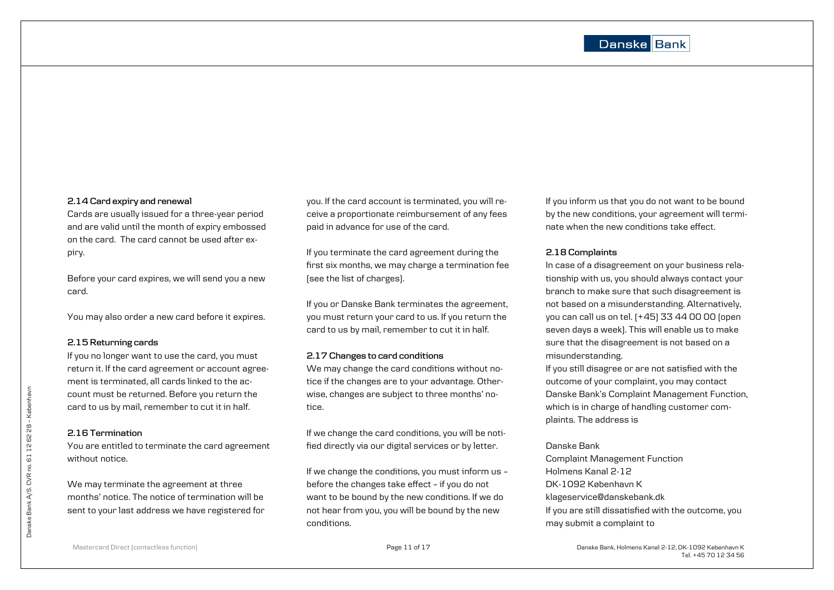#### **2.14 Card expiry and renewal**

Cards are usually issued for a three-year period and are valid until the month of expiry embossed on the card. The card cannot be used after expiry.

Before your card expires, we will send you a new card.

You may also order a new card before it expires.

## **2.15 Returning cards**

If you no longer want to use the card, you must return it. If the card agreement or account agreement is terminated, all cards linked to the account must be returned. Before you return the card to us by mail, remember to cut it in half.

## **2.16 Termination**

You are entitled to terminate the card agreement without notice.

We may terminate the agreement at three months' notice. The notice of termination will be sent to your last address we have registered for you. If the card account is terminated, you will receive a proportionate reimbursement of any fees paid in advance for use of the card.

If you terminate the card agreement during the first six months, we may charge a termination fee (see the list of charges).

If you or Danske Bank terminates the agreement, you must return your card to us. If you return the card to us by mail, remember to cut it in half.

## **2.17 Changes to card conditions**

We may change the card conditions without notice if the changes are to your advantage. Otherwise, changes are subject to three months' notice.

If we change the card conditions, you will be notified directly via our digital services or by letter.

If we change the conditions, you must inform us – before the changes take effect – if you do not want to be bound by the new conditions. If we do not hear from you, you will be bound by the new conditions.

If you inform us that you do not want to be bound by the new conditions, your agreement will terminate when the new conditions take effect.

## **2.18 Complaints**

In case of a disagreement on your business relationship with us, you should always contact your branch to make sure that such disagreement is not based on a misunderstanding. Alternatively, you can call us on tel. (+45) 33 44 00 00 (open seven days a week). This will enable us to make sure that the disagreement is not based on a misunderstanding.

If you still disagree or are not satisfied with the outcome of your complaint, you may contact Danske Bank's Complaint Management Function, which is in charge of handling customer complaints. The address is

## Danske Bank

Complaint Management Function Holmens Kanal 2-12 DK-1092 København K klageservice@danskebank.dk If you are still dissatisfied with the outcome, you may submit a complaint to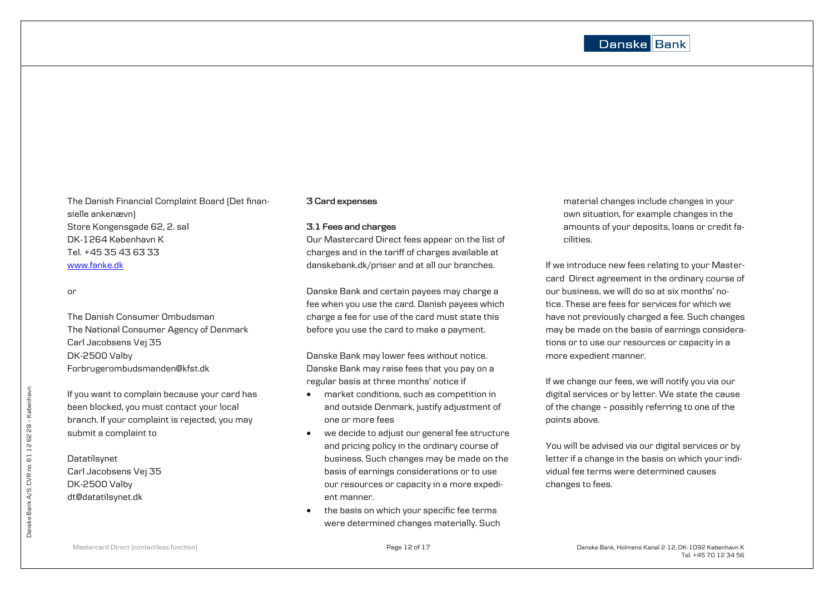## Danske Bank

The Danish Financial Complaint Board (Det finansielle ankenævn) Store Kongensgade 62, 2. sal DK-1264 København K Tel. +45 35 43 63 33 [www.fanke.dk](http://www.fanke.dk/)

#### or

The Danish Consumer Ombudsman The National Consumer Agency of Denmark Carl Jacobsens Vej 35 DK-2500 Valby Forbrugerombudsmanden@kfst.dk

If you want to complain because your card has been blocked, you must contact your local branch. If your complaint is rejected, you may submit a complaint to

## Datatilsynet

Carl Jacobsens Vej 35 DK-2500 Valby dt@datatilsynet.dk

## **3 Card expenses**

#### **3.1 Fees and charges**

Our Mastercard Direct fees appear on the list of charges and in the tariff of charges available at danskebank.dk/priser and at all our branches.

Danske Bank and certain payees may charge a fee when you use the card. Danish payees which charge a fee for use of the card must state this before you use the card to make a payment.

Danske Bank may lower fees without notice. Danske Bank may raise fees that you pay on a regular basis at three months' notice if

- market conditions, such as competition in and outside Denmark, justify adjustment of one or more fees
- we decide to adjust our general fee structure and pricing policy in the ordinary course of business. Such changes may be made on the basis of earnings considerations or to use our resources or capacity in a more expedient manner.
- $\bullet$  the basis on which your specific fee terms were determined changes materially. Such

material changes include changes in your own situation, for example changes in the amounts of your deposits, loans or credit facilities.

If we introduce new fees relating to your Mastercard Direct agreement in the ordinary course of our business, we will do so at six months' notice. These are fees for services for which we have not previously charged a fee. Such changes may be made on the basis of earnings considerations or to use our resources or capacity in a more expedient manner.

If we change our fees, we will notify you via our digital services or by letter. We state the cause of the change – possibly referring to one of the points above.

You will be advised via our digital services or by letter if a change in the basis on which your individual fee terms were determined causes changes to fees.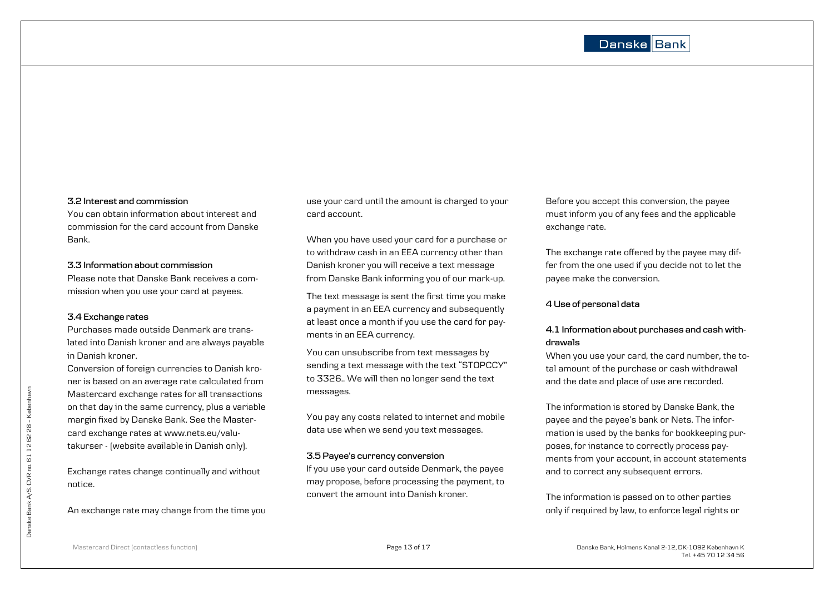#### **3.2 Interest and commission**

You can obtain information about interest and commission for the card account from Danske Bank.

## **3.3 Information about commission**

Please note that Danske Bank receives a commission when you use your card at payees.

## **3.4 Exchange rates**

Purchases made outside Denmark are translated into Danish kroner and are always payable in Danish kroner.

Conversion of foreign currencies to Danish kroner is based on an average rate calculated from Mastercard exchange rates for all transactions on that day in the same currency, plus a variable margin fixed by Danske Bank. See the Mastercard exchange rates at [www.nets.eu/valu](http://www.nets.eu/valutakurser)[takurser](http://www.nets.eu/valutakurser) - (website available in Danish only).

Exchange rates change continually and without notice.

An exchange rate may change from the time you

use your card until the amount is charged to your card account.

When you have used your card for a purchase or to withdraw cash in an EEA currency other than Danish kroner you will receive a text message from Danske Bank informing you of our mark-up.

The text message is sent the first time you make a payment in an EEA currency and subsequently at least once a month if you use the card for payments in an EEA currency.

You can unsubscribe from text messages by sending a text message with the text "STOPCCY" to 3326.. We will then no longer send the text messages.

You pay any costs related to internet and mobile data use when we send you text messages.

## **3.5 Payee's currency conversion**

If you use your card outside Denmark, the payee may propose, before processing the payment, to convert the amount into Danish kroner.

Before you accept this conversion, the payee must inform you of any fees and the applicable exchange rate.

The exchange rate offered by the payee may differ from the one used if you decide not to let the payee make the conversion.

## **4 Use of personal data**

## **4.1 Information about purchases and cash withdrawals**

When you use your card, the card number, the total amount of the purchase or cash withdrawal and the date and place of use are recorded.

The information is stored by Danske Bank, the payee and the payee's bank or Nets. The information is used by the banks for bookkeeping purposes, for instance to correctly process payments from your account, in account statements and to correct any subsequent errors.

The information is passed on to other parties only if required by law, to enforce legal rights or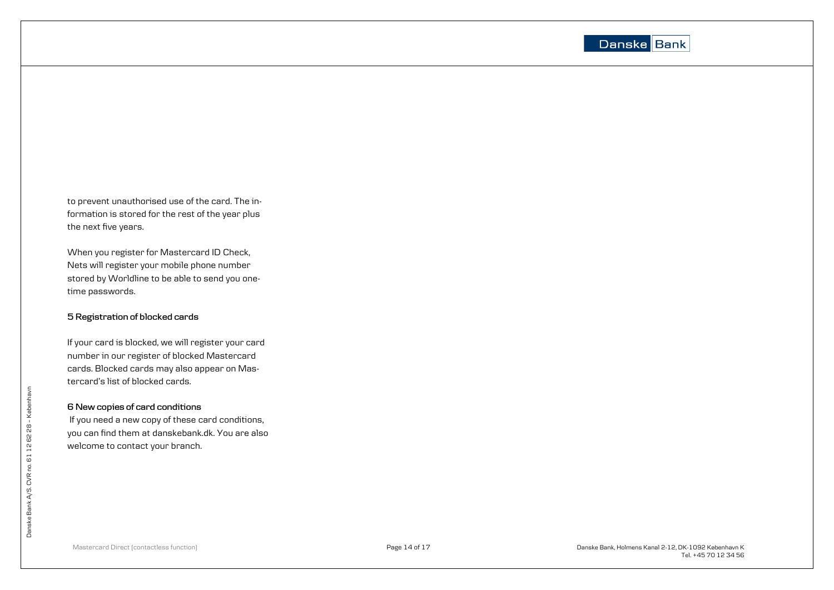

to prevent unauthorised use of the card. The information is stored for the rest of the year plus the next five years.

When you register for Mastercard ID Check, Nets will register your mobile phone number stored by Worldline to be able to send you one time passwords.

## **5 Registration of blocked cards**

If your card is blocked, we will register your card number in our register of blocked Mastercard cards. Blocked cards may also appear on Mastercard's list of blocked cards.

## **6 New copies of card conditions**

If you need a new copy of these card conditions, you can find them at danskebank.dk. You are also welcome to contact your branch.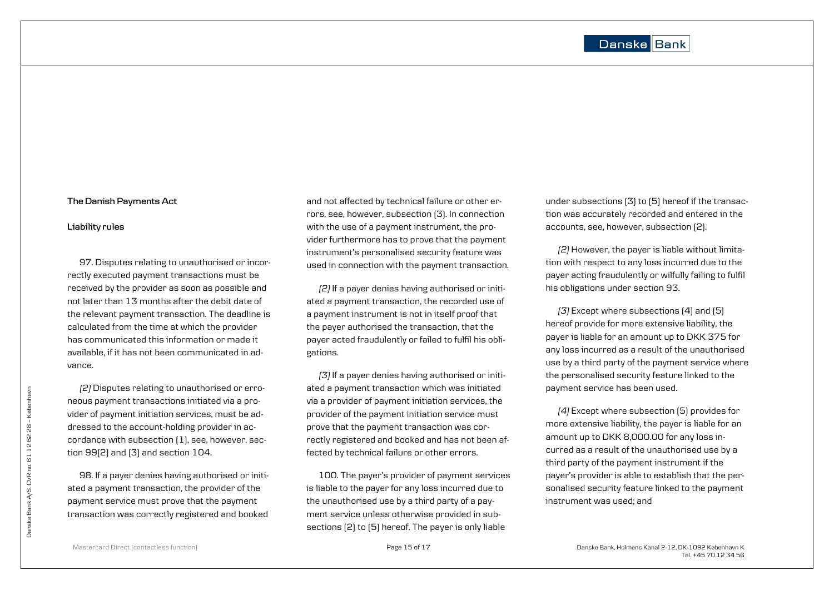#### **The Danish Payments Act**

#### **Liability rules**

97. Disputes relating to unauthorised or incorrectly executed payment transactions must be received by the provider as soon as possible and not later than 13 months after the debit date of the relevant payment transaction. The deadline is calculated from the time at which the provider has communicated this information or made it available, if it has not been communicated in advance.

*(2)* Disputes relating to unauthorised or erroneous payment transactions initiated via a provider of payment initiation services, must be addressed to the account-holding provider in accordance with subsection (1), see, however, section 99(2) and (3) and section 104.

98. If a payer denies having authorised or initiated a payment transaction, the provider of the payment service must prove that the payment transaction was correctly registered and booked

and not affected by technical failure or other errors, see, however, subsection (3). In connection with the use of a payment instrument, the provider furthermore has to prove that the payment instrument's personalised security feature was used in connection with the payment transaction.

*(2)* If a payer denies having authorised or initiated a payment transaction, the recorded use of a payment instrument is not in itself proof that the payer authorised the transaction, that the payer acted fraudulently or failed to fulfil his obligations.

*(3)* If a payer denies having authorised or initiated a payment transaction which was initiated via a provider of payment initiation services, the provider of the payment initiation service must prove that the payment transaction was correctly registered and booked and has not been affected by technical failure or other errors.

100. The payer's provider of payment services is liable to the payer for any loss incurred due to the unauthorised use by a third party of a payment service unless otherwise provided in subsections (2) to (5) hereof. The payer is only liable

under subsections (3) to (5) hereof if the transaction was accurately recorded and entered in the accounts, see, however, subsection (2).

*(2)* However, the payer is liable without limitation with respect to any loss incurred due to the payer acting fraudulently or wilfully failing to fulfil his obligations under section 93.

*(3)* Except where subsections (4) and (5) hereof provide for more extensive liability, the payer is liable for an amount up to DKK 375 for any loss incurred as a result of the unauthorised use by a third party of the payment service where the personalised security feature linked to the payment service has been used.

*(4)* Except where subsection (5) provides for more extensive liability, the payer is liable for an amount up to DKK 8,000.00 for any loss incurred as a result of the unauthorised use by a third party of the payment instrument if the payer's provider is able to establish that the personalised security feature linked to the payment instrument was used; and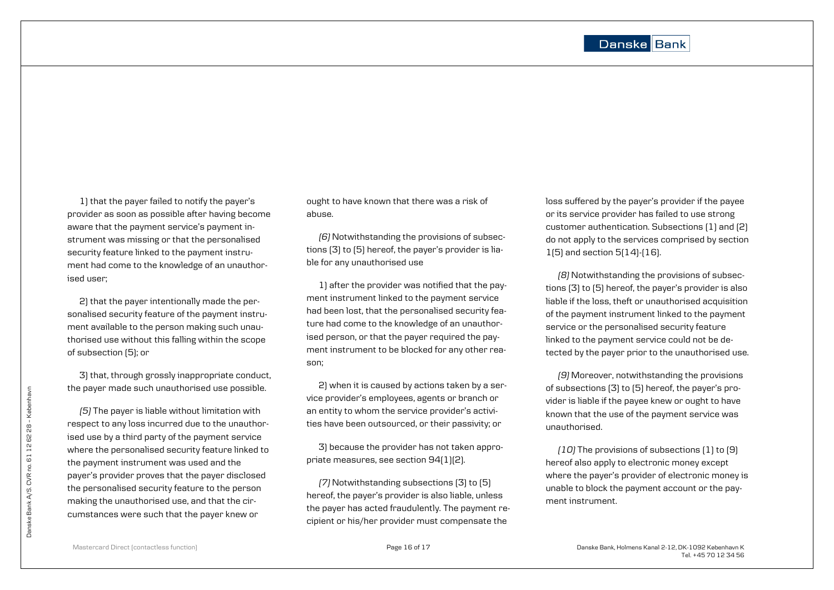1) that the payer failed to notify the payer's provider as soon as possible after having become aware that the payment service's payment instrument was missing or that the personalised security feature linked to the payment instrument had come to the knowledge of an unauthorised user;

2) that the payer intentionally made the personalised security feature of the payment instrument available to the person making such unauthorised use without this falling within the scope of subsection (5); or

3) that, through grossly inappropriate conduct, the payer made such unauthorised use possible.

*(5)* The payer is liable without limitation with respect to any loss incurred due to the unauthorised use by a third party of the payment service where the personalised security feature linked to the payment instrument was used and the payer's provider proves that the payer disclosed the personalised security feature to the person making the unauthorised use, and that the circumstances were such that the payer knew or

ought to have known that there was a risk of abuse.

*(6)* Notwithstanding the provisions of subsections (3) to (5) hereof, the payer's provider is liable for any unauthorised use

1) after the provider was notified that the payment instrument linked to the payment service had been lost, that the personalised security feature had come to the knowledge of an unauthorised person, or that the payer required the payment instrument to be blocked for any other reason;

2) when it is caused by actions taken by a service provider's employees, agents or branch or an entity to whom the service provider's activities have been outsourced, or their passivity; or

3) because the provider has not taken appropriate measures, see section 94(1)(2).

*(7)* Notwithstanding subsections (3) to (5) hereof, the payer's provider is also liable, unless the payer has acted fraudulently. The payment recipient or his/her provider must compensate the

loss suffered by the payer's provider if the payee or its service provider has failed to use strong customer authentication. Subsections (1) and (2) do not apply to the services comprised by section 1(5) and section 5(14)-(16).

*(8)* Notwithstanding the provisions of subsections (3) to (5) hereof, the payer's provider is also liable if the loss, theft or unauthorised acquisition of the payment instrument linked to the payment service or the personalised security feature linked to the payment service could not be detected by the payer prior to the unauthorised use.

*(9)* Moreover, notwithstanding the provisions of subsections (3) to (5) hereof, the payer's provider is liable if the payee knew or ought to have known that the use of the payment service was unauthorised.

*(10)* The provisions of subsections (1) to (9) hereof also apply to electronic money except where the payer's provider of electronic money is unable to block the payment account or the payment instrument.